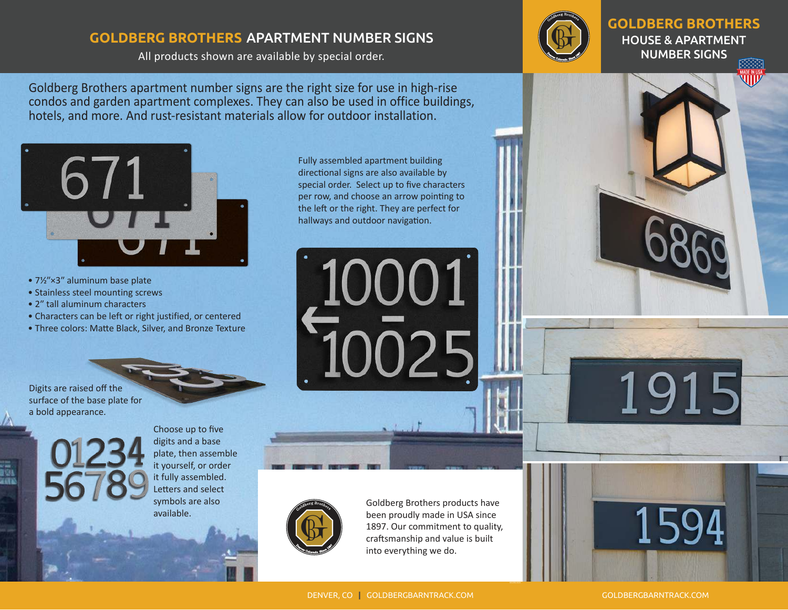## **GOLDBERG BROTHERS** APARTMENT NUMBER SIGNS

All products shown are available by special order.



**GOLDBERG BROTHERS** HOUSE & APARTMENT NUMBER SIGNS

Goldberg Brothers apartment number signs are the right size for use in high-rise condos and garden apartment complexes. They can also be used in office buildings, hotels, and more. And rust-resistant materials allow for outdoor installation.



- 7½"×3" aluminum base plate
- Stainless steel mounting screws
- 2" tall aluminum characters
- Characters can be left or right justified, or centered
- Three colors: Matte Black, Silver, and Bronze Texture

Digits are raised off the surface of the base plate for a bold appearance.

Choose up to five digits and a base plate, then assemble it yourself, or order it fully assembled. Letters and select symbols are also available.

Fully assembled apartment building directional signs are also available by special order. Select up to five characters per row, and choose an arrow pointing to the left or the right. They are perfect for hallways and outdoor navigation.

10001



Goldberg Brothers products have been proudly made in USA since 1897. Our commitment to quality, craftsmanship and value is built into everything we do.

159

1915